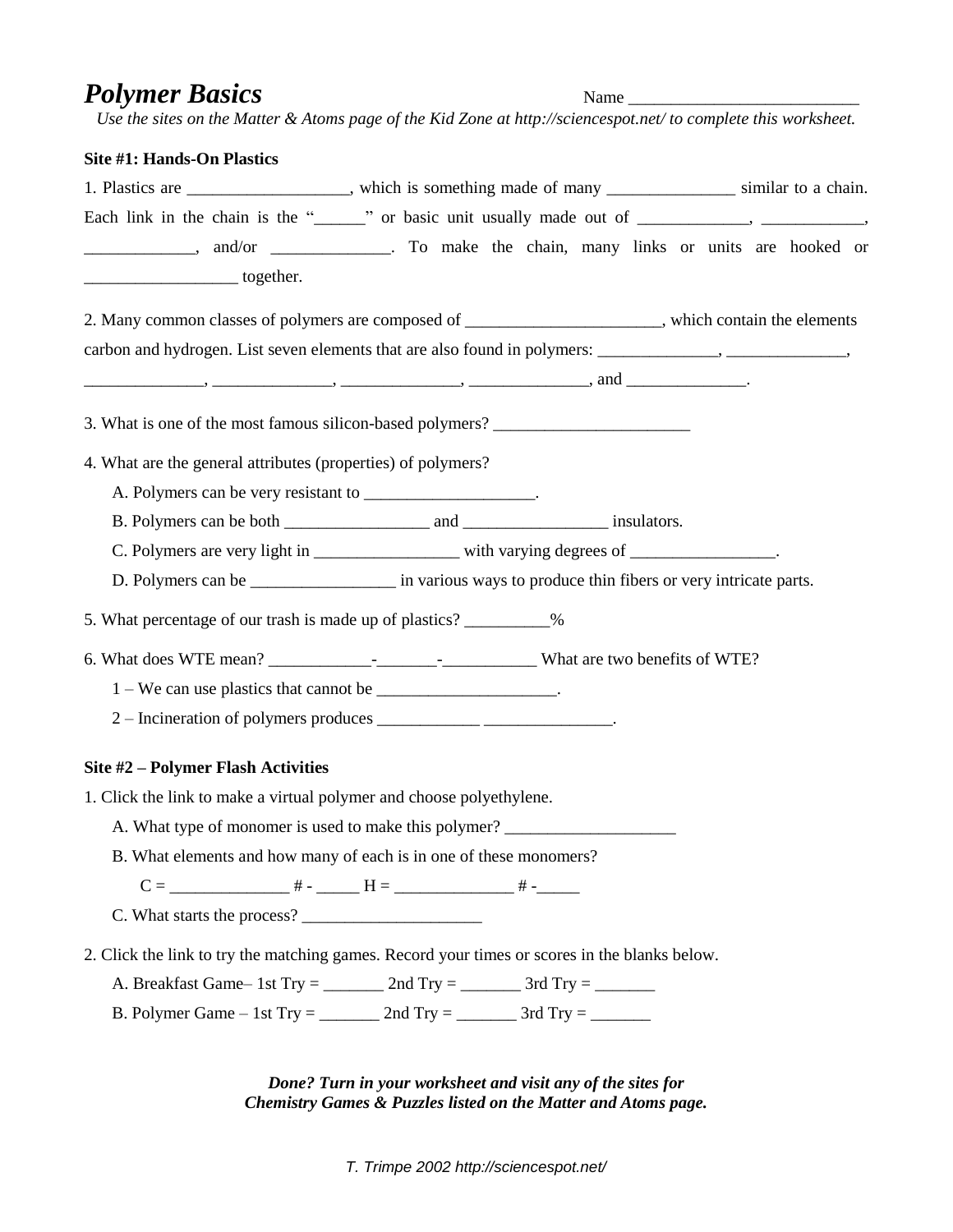## *Polymer Basics* Name \_\_\_\_\_\_\_\_\_\_\_\_\_\_\_\_\_\_\_\_\_\_\_\_\_\_\_

*Use the sites on the Matter & Atoms page of the Kid Zone at http://sciencespot.net/ to complete this worksheet.*

| Site #1: Hands-On Plastics                                           |                                                                                                                                                                                                                                                                                               |  |
|----------------------------------------------------------------------|-----------------------------------------------------------------------------------------------------------------------------------------------------------------------------------------------------------------------------------------------------------------------------------------------|--|
|                                                                      | 1. Plastics are ________________, which is something made of many _____________ similar to a chain.                                                                                                                                                                                           |  |
|                                                                      | Each link in the chain is the "______" or basic unit usually made out of __________, __________,                                                                                                                                                                                              |  |
|                                                                      |                                                                                                                                                                                                                                                                                               |  |
| <u>________________________</u> together.                            |                                                                                                                                                                                                                                                                                               |  |
|                                                                      | 2. Many common classes of polymers are composed of _____________________, which contain the elements                                                                                                                                                                                          |  |
|                                                                      | carbon and hydrogen. List seven elements that are also found in polymers: _____________, _______________,                                                                                                                                                                                     |  |
|                                                                      | $\frac{1}{1}$ and $\frac{1}{1}$ and $\frac{1}{1}$ and $\frac{1}{1}$ and $\frac{1}{1}$ and $\frac{1}{1}$ and $\frac{1}{1}$ and $\frac{1}{1}$ and $\frac{1}{1}$ and $\frac{1}{1}$ and $\frac{1}{1}$ and $\frac{1}{1}$ and $\frac{1}{1}$ and $\frac{1}{1}$ and $\frac{1}{1}$ and $\frac{1}{1}$ a |  |
|                                                                      | 3. What is one of the most famous silicon-based polymers? ______________________                                                                                                                                                                                                              |  |
| 4. What are the general attributes (properties) of polymers?         |                                                                                                                                                                                                                                                                                               |  |
| A. Polymers can be very resistant to ____________________.           |                                                                                                                                                                                                                                                                                               |  |
|                                                                      |                                                                                                                                                                                                                                                                                               |  |
|                                                                      | C. Polymers are very light in ________________ with varying degrees of _______________.                                                                                                                                                                                                       |  |
|                                                                      | D. Polymers can be ______________________ in various ways to produce thin fibers or very intricate parts.                                                                                                                                                                                     |  |
| 5. What percentage of our trash is made up of plastics? __________%  |                                                                                                                                                                                                                                                                                               |  |
|                                                                      |                                                                                                                                                                                                                                                                                               |  |
| 1 – We can use plastics that cannot be _____________________.        |                                                                                                                                                                                                                                                                                               |  |
|                                                                      | 2 – Incineration of polymers produces ___________________________.                                                                                                                                                                                                                            |  |
| Site #2 - Polymer Flash Activities                                   |                                                                                                                                                                                                                                                                                               |  |
| 1. Click the link to make a virtual polymer and choose polyethylene. |                                                                                                                                                                                                                                                                                               |  |
| A. What type of monomer is used to make this polymer?                |                                                                                                                                                                                                                                                                                               |  |
|                                                                      | B. What elements and how many of each is in one of these monomers?                                                                                                                                                                                                                            |  |
|                                                                      |                                                                                                                                                                                                                                                                                               |  |
|                                                                      |                                                                                                                                                                                                                                                                                               |  |
|                                                                      | 2. Click the link to try the matching games. Record your times or scores in the blanks below.                                                                                                                                                                                                 |  |
|                                                                      | A. Breakfast Game - 1st Try = _________ 2nd Try = _________ 3rd Try = ________                                                                                                                                                                                                                |  |
|                                                                      | B. Polymer Game – 1st Try = $\_\_\_\_\_$ 2nd Try = $\_\_\_\_\_$ 3rd Try = $\_\_\_\_\_\_\_$                                                                                                                                                                                                    |  |

*Done? Turn in your worksheet and visit any of the sites for Chemistry Games & Puzzles listed on the Matter and Atoms page.*

*T. Trimpe 2002 http://sciencespot.net/*